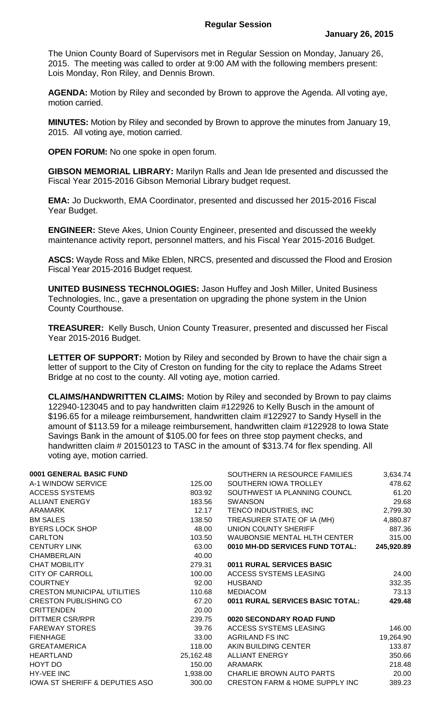## **Regular Session**

The Union County Board of Supervisors met in Regular Session on Monday, January 26, 2015. The meeting was called to order at 9:00 AM with the following members present: Lois Monday, Ron Riley, and Dennis Brown.

**AGENDA:** Motion by Riley and seconded by Brown to approve the Agenda. All voting aye, motion carried.

**MINUTES:** Motion by Riley and seconded by Brown to approve the minutes from January 19, 2015. All voting aye, motion carried.

**OPEN FORUM:** No one spoke in open forum.

**GIBSON MEMORIAL LIBRARY:** Marilyn Ralls and Jean Ide presented and discussed the Fiscal Year 2015-2016 Gibson Memorial Library budget request.

**EMA:** Jo Duckworth, EMA Coordinator, presented and discussed her 2015-2016 Fiscal Year Budget.

**ENGINEER:** Steve Akes, Union County Engineer, presented and discussed the weekly maintenance activity report, personnel matters, and his Fiscal Year 2015-2016 Budget.

**ASCS:** Wayde Ross and Mike Eblen, NRCS, presented and discussed the Flood and Erosion Fiscal Year 2015-2016 Budget request.

**UNITED BUSINESS TECHNOLOGIES:** Jason Huffey and Josh Miller, United Business Technologies, Inc., gave a presentation on upgrading the phone system in the Union County Courthouse.

**TREASURER:** Kelly Busch, Union County Treasurer, presented and discussed her Fiscal Year 2015-2016 Budget.

**LETTER OF SUPPORT:** Motion by Riley and seconded by Brown to have the chair sign a letter of support to the City of Creston on funding for the city to replace the Adams Street Bridge at no cost to the county. All voting aye, motion carried.

**CLAIMS/HANDWRITTEN CLAIMS:** Motion by Riley and seconded by Brown to pay claims 122940-123045 and to pay handwritten claim #122926 to Kelly Busch in the amount of \$196.65 for a mileage reimbursement, handwritten claim #122927 to Sandy Hysell in the amount of \$113.59 for a mileage reimbursement, handwritten claim #122928 to Iowa State Savings Bank in the amount of \$105.00 for fees on three stop payment checks, and handwritten claim # 20150123 to TASC in the amount of \$313.74 for flex spending. All voting aye, motion carried.

| 0001 GENERAL BASIC FUND            |           | SOUTHERN IA RESOURCE FAMILIES    | 3,634.74   |
|------------------------------------|-----------|----------------------------------|------------|
| A-1 WINDOW SERVICE                 | 125.00    | SOUTHERN IOWA TROLLEY            | 478.62     |
| <b>ACCESS SYSTEMS</b>              | 803.92    | SOUTHWEST IA PLANNING COUNCL     | 61.20      |
| <b>ALLIANT ENERGY</b>              | 183.56    | <b>SWANSON</b>                   | 29.68      |
| ARAMARK                            | 12.17     | TENCO INDUSTRIES, INC            | 2,799.30   |
| <b>BM SALES</b>                    | 138.50    | TREASURER STATE OF IA (MH)       | 4,880.87   |
| <b>BYERS LOCK SHOP</b>             | 48.00     | UNION COUNTY SHERIFF             | 887.36     |
| <b>CARLTON</b>                     | 103.50    | WAUBONSIE MENTAL HLTH CENTER     | 315.00     |
| <b>CENTURY LINK</b>                | 63.00     | 0010 MH-DD SERVICES FUND TOTAL:  | 245,920.89 |
| <b>CHAMBERLAIN</b>                 | 40.00     |                                  |            |
| <b>CHAT MOBILITY</b>               | 279.31    | 0011 RURAL SERVICES BASIC        |            |
| <b>CITY OF CARROLL</b>             | 100.00    | ACCESS SYSTEMS LEASING           | 24.00      |
| <b>COURTNEY</b>                    | 92.00     | <b>HUSBAND</b>                   | 332.35     |
| <b>CRESTON MUNICIPAL UTILITIES</b> | 110.68    | <b>MEDIACOM</b>                  | 73.13      |
| <b>CRESTON PUBLISHING CO</b>       | 67.20     | 0011 RURAL SERVICES BASIC TOTAL: | 429.48     |
| <b>CRITTENDEN</b>                  | 20.00     |                                  |            |
| <b>DITTMER CSR/RPR</b>             | 239.75    | 0020 SECONDARY ROAD FUND         |            |
| <b>FAREWAY STORES</b>              | 39.76     | <b>ACCESS SYSTEMS LEASING</b>    | 146.00     |
| <b>FIENHAGE</b>                    | 33.00     | <b>AGRILAND FS INC</b>           | 19,264.90  |
| <b>GREATAMERICA</b>                | 118.00    | AKIN BUILDING CENTER             | 133.87     |
| <b>HEARTLAND</b>                   | 25,162.48 | <b>ALLIANT ENERGY</b>            | 350.66     |
| HOYT DO                            | 150.00    | <b>ARAMARK</b>                   | 218.48     |
| HY-VEE INC                         | 1,938.00  | CHARLIE BROWN AUTO PARTS         | 20.00      |
| IOWA ST SHERIFF & DEPUTIES ASO     | 300.00    | CRESTON FARM & HOME SUPPLY INC   | 389.23     |